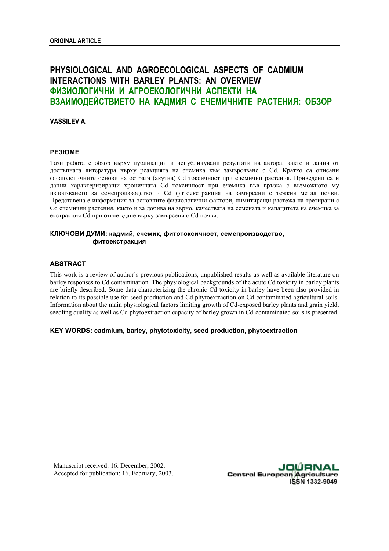# **PHYSIOLOGICAL AND AGROECOLOGICAL ASPECTS OF CADMIUM INTERACTIONS WITH BARLEY PLANTS: AN OVERVIEW ФИЗИОЛОГИЧНИ И АГРОЕКОЛОГИЧНИ АСПЕКТИ НА ВЗАИМОДЕЙСТВИЕТО НА КАДМИЯ С ЕЧЕМИЧНИТЕ РАСТЕНИЯ: ОБЗОР**

**VASSILEV A.** 

#### **РЕЗЮМЕ**

Тази работа е обзор върху публикации и непубликувани резултати на автора, както и данни от достъпната литература върху реакцията на ечемика към замърсяване с Cd. Кратко са описани физиологичните основи на острата (акутна) Cd токсичност при ечемични растения. Приведени са и данни характеризиращи хроничната Cd токсичност при ечемика във връзка с възможното му използването за семепроизводство и Cd фитоекстракция на замърсени с тежкия метал почви. Представена е информация за основните физиологични фактори, лимитиращи растежа на третирани с Cd ечемични растения, както и за добива на зърно, качествата на семената и капацитета на ечемика за екстракция Cd при отглеждане върху замърсени с Cd почви.

# **КЛЮЧОВИ ДУМИ: кадмий, ечемик, фитотоксичност, семепроизводство, фитоекстракция**

## **ABSTRACT**

This work is a review of author's previous publications, unpublished results as well as available literature on barley responses to Cd contamination. The physiological backgrounds of the acute Cd toxicity in barley plants are briefly described. Some data characterizing the chronic Cd toxicity in barley have been also provided in relation to its possible use for seed production and Cd phytoextraction on Cd-contaminated agricultural soils. Information about the main physiological factors limiting growth of Cd-exposed barley plants and grain yield, seedling quality as well as Cd phytoextraction capacity of barley grown in Cd-contaminated soils is presented.

## **KEY WORDS: cadmium, barley, phytotoxicity, seed production, phytoextraction**

Manuscript received: 16. December, 2002. Accepted for publication: 16. February, 2003.

JOÚRNAL **Central European Agriculture** ISSN 1332-9049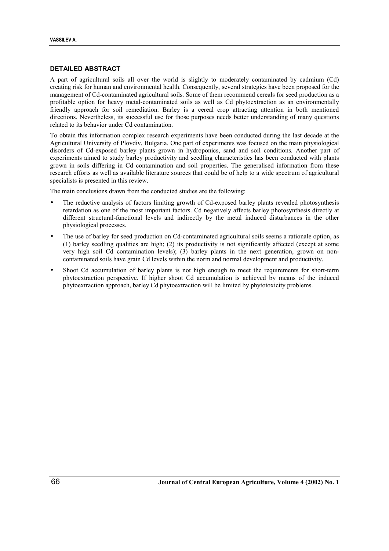# **DETAILED ABSTRACT**

A part of agricultural soils all over the world is slightly to moderately contaminated by cadmium (Cd) creating risk for human and environmental health. Consequently, several strategies have been proposed for the management of Cd-contaminated agricultural soils. Some of them recommend cereals for seed production as a profitable option for heavy metal-contaminated soils as well as Cd phytoextraction as an environmentally friendly approach for soil remediation. Barley is a cereal crop attracting attention in both mentioned directions. Nevertheless, its successful use for those purposes needs better understanding of many questions related to its behavior under Cd contamination.

To obtain this information complex research experiments have been conducted during the last decade at the Agricultural University of Plovdiv, Bulgaria. One part of experiments was focused on the main physiological disorders of Cd-exposed barley plants grown in hydroponics, sand and soil conditions. Another part of experiments aimed to study barley productivity and seedling characteristics has been conducted with plants grown in soils differing in Cd contamination and soil properties. The generalised information from these research efforts as well as available literature sources that could be of help to a wide spectrum of agricultural specialists is presented in this review.

The main conclusions drawn from the conducted studies are the following:

- The reductive analysis of factors limiting growth of Cd-exposed barley plants revealed photosynthesis retardation as one of the most important factors. Cd negatively affects barley photosynthesis directly at different structural-functional levels and indirectly by the metal induced disturbances in the other physiological processes.
- The use of barley for seed production on Cd-contaminated agricultural soils seems a rationale option, as (1) barley seedling qualities are high; (2) its productivity is not significantly affected (except at some very high soil Cd contamination levels); (3) barley plants in the next generation, grown on noncontaminated soils have grain Cd levels within the norm and normal development and productivity.
- Shoot Cd accumulation of barley plants is not high enough to meet the requirements for short-term phytoextraction perspective. If higher shoot Cd accumulation is achieved by means of the induced phytoextraction approach, barley Cd phytoextraction will be limited by phytotoxicity problems.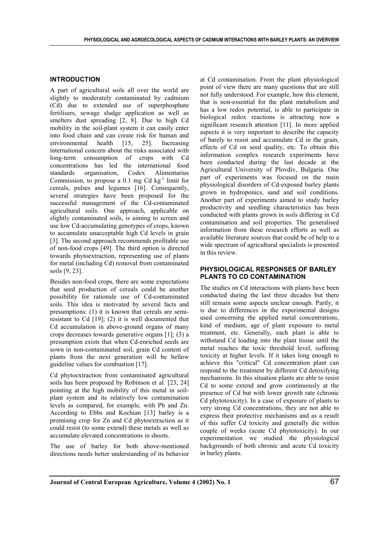#### **INTRODUCTION**

A part of agricultural soils all over the world are slightly to moderately contaminated by cadmium (Cd) due to extended use of superphosphate fertilisers, sewage sludge application as well as smelters dust spreading [2, 8]. Due to high Cd mobility in the soil-plant system it can easily enter into food chain and can create risk for human and environmental health [15, 25]. Increasing international concern about the risks associated with long-term consumption of crops with Cd concentrations has led the international food standards organisation, Codex Alimentarius Commission, to propose a  $0.1 \text{ mg } Cd \text{ kg}^{-1}$  limit for cereals, pulses and legumes [16]. Consequently, several strategies have been proposed for the successful management of the Cd-contaminated agricultural soils. One approach, applicable on slightly contaminated soils, is aiming to screen and use low Cd-accumulating genotypes of crops, known to accumulate unacceptable high Cd levels in grain [3]. The second approach recommends profitable use of non-food crops [49]. The third option is directed towards phytoextraction, representing use of plants for metal (including Cd) removal from contaminated soils [9, 23].

Besides non-food crops, there are some expectations that seed production of cereals could be another possibility for rationale use of Cd-contaminated soils. This idea is motivated by several facts and presumptions: (1) it is known that cereals are semiresistant to Cd [19]; (2) it is well documented that Cd accumulation in above-ground organs of many crops decreases towards generative organs [1]; (3) a presumption exists that when Cd-enriched seeds are sown in non-contaminated soil, grain Cd content of plants from the next generation will be bellow guideline values for combustion [17].

Cd phytoextraction from contaminated agricultural soils has been proposed by Robinson et al. [23, 24] pointing at the high mobility of this metal in soilplant system and its relatively low contamination levels as compared, for example, with Pb and Zn. According to Ebbs and Kochian [13] barley is a promising crop for Zn and Cd phytoextraction as it could resist (to some extend) these metals as well as accumulate elevated concentrations in shoots.

The use of barley for both above-mentioned directions needs better understanding of its behavior at Cd contamination. From the plant physiological point of view there are many questions that are still not fully understood. For example, how this element, that is non-essential for the plant metabolism and has a low redox potential, is able to participate in biological redox reactions is attracting now a significant research attention [11]. In more applied aspects it is very important to describe the capacity of barely to resist and accumulate Cd in the grain, effects of Cd on seed quality, etc. To obtain this information complex research experiments have been conducted during the last decade at the Agricultural University of Plovdiv, Bulgaria. One part of experiments was focused on the main physiological disorders of Cd-exposed barley plants grown in hydroponics, sand and soil conditions. Another part of experiments aimed to study barley productivity and seedling characteristics has been conducted with plants grown in soils differing in Cd contamination and soil properties. The generalised information from these research efforts as well as available literature sources that could be of help to a wide spectrum of agricultural specialists is presented in this review.

# **PHYSIOLOGICAL RESPONSES OF BARLEY PLANTS TO CD CONTAMINATION**

The studies on Cd interactions with plants have been conducted during the last three decades but there still remain some aspects unclear enough. Partly, it is due to differences in the experimental designs used concerning the applied metal concentrations, kind of medium, age of plant exposure to metal treatment, etc. Generally, each plant is able to withstand Cd loading into the plant tissue until the metal reaches the toxic threshold level, suffering toxicity at higher levels. If it takes long enough to achieve this "critical" Cd concentration plant can respond to the treatment by different Cd detoxifying mechanisms. In this situation plants are able to resist Cd to some extend and grow continuously at the presence of Cd but with lower growth rate (chronic Cd phytotoxicity). In a case of exposure of plants to very strong Cd concentrations, they are not able to express their protective mechanisms and as a result of this suffer Cd toxicity and generally die within couple of weeks (acute Cd phytotoxicity). In our experimentation we studied the physiological backgrounds of both chronic and acute Cd toxicity in barley plants.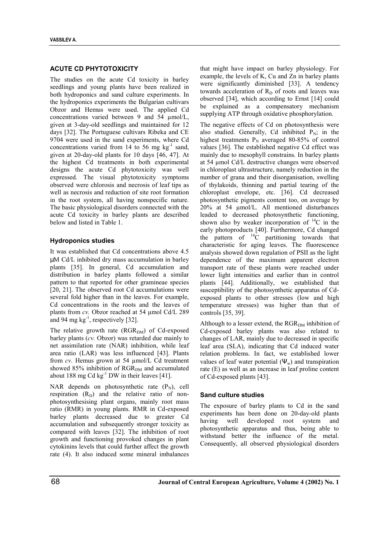# **ACUTE CD PHYTOTOXICITY**

The studies on the acute Cd toxicity in barley seedlings and young plants have been realized in both hydroponics and sand culture experiments. In the hydroponics experiments the Bulgarian cultivars Obzor and Hemus were used. The applied Cd concentrations varied between 9 and 54 µmol/L, given at 3-day-old seedlings and maintained for 12 days [32]. The Portuguese cultivars Ribeka and CE 9704 were used in the sand experiments, where Cd concentrations varied from 14 to 56 mg  $kg^{-1}$  sand, given at 20-day-old plants for 10 days [46, 47]. At the highest Cd treatments in both experimental designs the acute Cd phytotoxicity was well expressed. The visual phytotoxicity symptoms observed were chlorosis and necrosis of leaf tips as well as necrosis and reduction of site root formation in the root system, all having nonspecific nature. The basic physiological disorders connected with the acute Cd toxicity in barley plants are described below and listed in Table 1.

# **Hydroponics studies**

It was established that Cd concentrations above 4.5 µM Cd/L inhibited dry mass accumulation in barley plants [35]. In general, Cd accumulation and distribution in barley plants followed a similar pattern to that reported for other gramineae species [20, 21]. The observed root Cd accumulations were several fold higher than in the leaves. For example, Cd concentrations in the roots and the leaves of plants from *cv*. Obzor reached at 54 umol Cd/L 289 and 94 mg  $kg^{-1}$ , respectively [32].

The relative growth rate  $(RGR<sub>DM</sub>)$  of Cd-exposed barley plants (*cv.* Obzor) was retarded due mainly to net assimilation rate (NAR) inhibition, while leaf area ratio (LAR) was less influenced [43]. Plants from *cv*. Hemus grown at 54 µmol/L Cd treatment showed 85% inhibition of RGR<sub>DM</sub> and accumulated about 188 mg Cd  $kg^{-1}$  DW in their leaves [41].

NAR depends on photosynthetic rate  $(P<sub>N</sub>)$ , cell respiration  $(R_D)$  and the relative ratio of nonphotosynthesising plant organs, mainly root mass ratio (RMR) in young plants. RMR in Cd-exposed barley plants decreased due to greater Cd accumulation and subsequently stronger toxicity as compared with leaves [32]. The inhibition of root growth and functioning provoked changes in plant cytokinins levels that could further affect the growth rate (4). It also induced some mineral imbalances that might have impact on barley physiology. For example, the levels of K, Cu and Zn in barley plants were significantly diminished [33]. A tendency towards acceleration of  $R_D$  of roots and leaves was observed [34], which according to Ernst [14] could be explained as a compensatory mechanism supplying ATP through oxidative phosphorylation.

The negative effects of Cd on photosynthesis were also studied. Generally, Cd inhibited  $P_N$ ; in the highest treatments  $P_N$  averaged 80-85% of control values [36]. The established negative Cd effect was mainly due to mesophyll constrains. In barley plants at 54 µmol Cd/L destructive changes were observed in chloroplast ultrastructure, namely reduction in the number of grana and their disorganisation, swelling of thylakoids, thinning and partial tearing of the chloroplast envelope, etc. [36]. Cd decreased photosynthetic pigments content too, on average by 20% at 54 µmol/L. All mentioned disturbances leaded to decreased photosynthetic functioning, shown also by weaker incorporation of  ${}^{14}C$  in the early photoproducts [40]. Furthermore, Cd changed the pattern of  $^{14}$ C partitioning towards that characteristic for aging leaves. The fluorescence analysis showed down regulation of PSII as the light dependence of the maximum apparent electron transport rate of these plants were reached under lower light intensities and earlier than in control plants [44]. Additionally, we established that susceptibility of the photosynthetic apparatus of Cdexposed plants to other stresses (low and high temperature stresses) was higher than that of controls [35, 39].

Although to a lesser extend, the  $RGR<sub>DM</sub>$  inhibition of Cd-exposed barley plants was also related to changes of LAR, mainly due to decreased in specific leaf area (SLA), indicating that Cd induced water relation problems. In fact, we established lower values of leaf water potential  $(\Psi_w)$  and transpiration rate (E) as well as an increase in leaf proline content of Cd-exposed plants [43].

## **Sand culture studies**

The exposure of barley plants to Cd in the sand experiments has been done on 20-day-old plants having well developed root system and photosynthetic apparatus and thus, being able to withstand better the influence of the metal. Consequently, all observed physiological disorders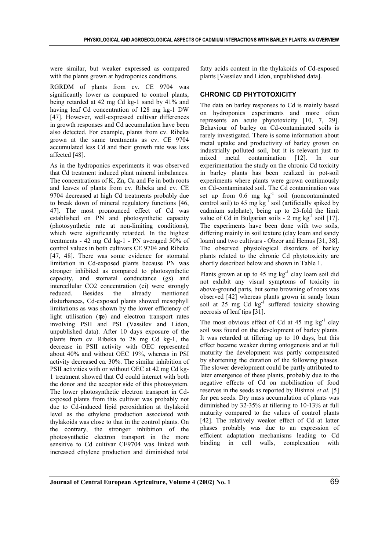were similar, but weaker expressed as compared with the plants grown at hydroponics conditions.

RGRDM of plants from cv. CE 9704 was significantly lower as compared to control plants, being retarded at 42 mg Cd kg-1 sand by 41% and having leaf Cd concentration of 128 mg kg-1 DW [47]. However, well-expressed cultivar differences in growth responses and Cd accumulation have been also detected. For example, plants from cv. Ribeka grown at the same treatments as cv. CE 9704 accumulated less Cd and their growth rate was less affected [48].

As in the hydroponics experiments it was observed that Cd treatment induced plant mineral imbalances. The concentrations of K, Zn, Ca and Fe in both roots and leaves of plants from cv. Ribeka and cv. CE 9704 decreased at high Cd treatments probably due to break down of mineral regulatory functions [46, 47]. The most pronounced effect of Cd was established on PN and photosynthetic capacity (photosynthetic rate at non-limiting conditions), which were significantly retarded. In the highest treatments - 42 mg Cd kg-1 - PN averaged 50% of control values in both cultivars CE 9704 and Ribeka [47, 48]. There was some evidence for stomatal limitation in Cd-exposed plants because PN was stronger inhibited as compared to photosynthetic capacity, and stomatal conductance (gs) and intercellular CO2 concentration (ci) were strongly reduced. Besides the already mentioned disturbances, Cd-exposed plants showed mesophyll limitations as was shown by the lower efficiency of light utilisation (φe) and electron transport rates involving PSII and PSI (Vassilev and Lidon, unpublished data). After 10 days exposure of the plants from cv. Ribeka to 28 mg Cd kg-1, the decrease in PSII activity with OEC represented about 40% and without OEC 19%, whereas in PSI activity decreased ca. 30%. The similar inhibition of PSII activities with or without OEC at 42 mg Cd kg-1 treatment showed that Cd could interact with both the donor and the acceptor side of this photosystem. The lower photosynthetic electron transport in Cdexposed plants from this cultivar was probably not due to Cd-induced lipid peroxidation at thylakoid level as the ethylene production associated with thylakoids was close to that in the control plants. On the contrary, the stronger inhibition of the photosynthetic electron transport in the more sensitive to Cd cultivar CE9704 was linked with increased ethylene production and diminished total

fatty acids content in the thylakoids of Cd-exposed plants [Vassilev and Lidon, unpublished data].

# **CHRONIC CD PHYTOTOXICITY**

The data on barley responses to Cd is mainly based on hydroponics experiments and more often represents an acute phytotoxicity [10, 7, 29]. Behaviour of barley on Cd-contaminated soils is rarely investigated. There is some information about metal uptake and productivity of barley grown on industrially polluted soil, but it is relevant just to mixed metal contamination [12]. In our experimentation the study on the chronic Cd toxicity in barley plants has been realized in pot-soil experiments where plants were grown continuously on Cd-contaminated soil. The Cd contamination was set up from  $0.6$  mg  $\text{kg}^{-1}$  soil (noncontaminated control soil) to 45 mg kg<sup>-1</sup> soil (artificially spiked by cadmium sulphate), being up to 23-fold the limit value of Cd in Bulgarian soils -  $2 \text{ mg kg}^{-1}$  soil [17]. The experiments have been done with two soils, differing mainly in soil texture (clay loam and sandy loam) and two cultivars - Obzor and Hemus [31, 38]. The observed physiological disorders of barley plants related to the chronic Cd phytotoxicity are shortly described below and shown in Table 1.

Plants grown at up to 45 mg  $kg^{-1}$  clay loam soil did not exhibit any visual symptoms of toxicity in above-ground parts, but some browning of roots was observed [42] whereas plants grown in sandy loam soil at  $25 \text{ mg}$  Cd kg<sup>-1</sup> suffered toxicity showing necrosis of leaf tips [31].

The most obvious effect of Cd at  $45 \text{ mg kg}^{-1}$  clay soil was found on the development of barley plants. It was retarded at tillering up to 10 days, but this effect became weaker during ontogenesis and at full maturity the development was partly compensated by shortening the duration of the following phases. The slower development could be partly attributed to later emergence of these plants, probably due to the negative effects of Cd on mobilisation of food reserves in the seeds as reported by Bishnoi *et al.* [5] for pea seeds. Dry mass accumulation of plants was diminished by 32-35% at tillering to 10-13% at full maturity compared to the values of control plants [42]. The relatively weaker effect of Cd at latter phases probably was due to an expression of efficient adaptation mechanisms leading to Cd binding in cell walls, complexation with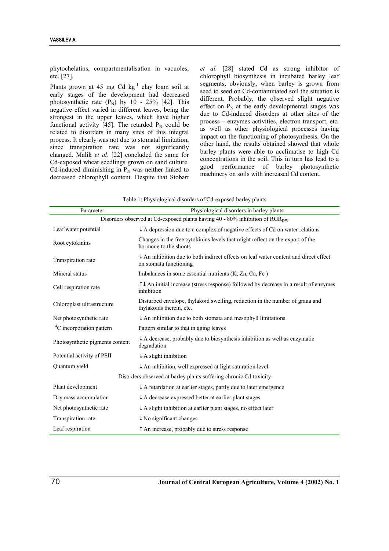phytochelatins, compartmentalisation in vacuoles, etc. [27].

Plants grown at 45 mg Cd kg<sup>-1</sup> clay loam soil at early stages of the development had decreased photosynthetic rate  $(P_N)$  by 10 - 25% [42]. This negative effect varied in different leaves, being the strongest in the upper leaves, which have higher functional activity [45]. The retarded  $P_N$  could be related to disorders in many sites of this integral process. It clearly was not due to stomatal limitation, since transpiration rate was not significantly changed. Malik *et al*. [22] concluded the same for Cd-exposed wheat seedlings grown on sand culture. Cd-induced diminishing in  $P_N$  was neither linked to decreased chlorophyll content. Despite that Stobart *et al.* [28] stated Cd as strong inhibitor of chlorophyll biosynthesis in incubated barley leaf segments, obviously, when barley is grown from seed to seed on Cd-contaminated soil the situation is different. Probably, the observed slight negative effect on  $P_N$  at the early developmental stages was due to Cd-induced disorders at other sites of the process – enzymes activities, electron transport, etc. as well as other physiological processes having impact on the functioning of photosynthesis. On the other hand, the results obtained showed that whole barley plants were able to acclimatise to high Cd concentrations in the soil. This in turn has lead to a good performance of barley photosynthetic machinery on soils with increased Cd content.

| Parameter                                                                               | Physiological disorders in barley plants                                                                                  |  |  |
|-----------------------------------------------------------------------------------------|---------------------------------------------------------------------------------------------------------------------------|--|--|
| Disorders observed at Cd-exposed plants having 40 - 80% inhibition of RGR <sub>DW</sub> |                                                                                                                           |  |  |
| Leaf water potential                                                                    | $\downarrow$ A depression due to a complex of negative effects of Cd on water relations                                   |  |  |
| Root cytokinins                                                                         | Changes in the free cytokinins levels that might reflect on the export of the<br>hormone to the shoots                    |  |  |
| Transpiration rate                                                                      | $\downarrow$ An inhibition due to both indirect effects on leaf water content and direct effect<br>on stomata functioning |  |  |
| Mineral status                                                                          | Imbalances in some essential nutrients (K, Zn, Ca, Fe)                                                                    |  |  |
| Cell respiration rate                                                                   | $\uparrow\downarrow$ An initial increase (stress response) followed by decrease in a result of enzymes<br>inhibition      |  |  |
| Chloroplast ultrastructure                                                              | Disturbed envelope, thylakoid swelling, reduction in the number of grana and<br>thylakoids therein, etc.                  |  |  |
| Net photosynthetic rate                                                                 | $\downarrow$ An inhibition due to both stomata and mesophyll limitations                                                  |  |  |
| ${}^{14}C$ incorporation pattern                                                        | Pattern similar to that in aging leaves                                                                                   |  |  |
| Photosynthetic pigments content                                                         | $\downarrow$ A decrease, probably due to biosynthesis inhibition as well as enzymatic<br>degradation                      |  |  |
| Potential activity of PSII                                                              | $\downarrow$ A slight inhibition                                                                                          |  |  |
| Quantum yield                                                                           | $\downarrow$ An inhibition, well expressed at light saturation level                                                      |  |  |
| Disorders observed at barley plants suffering chronic Cd toxicity                       |                                                                                                                           |  |  |
| Plant development                                                                       | $\downarrow$ A retardation at earlier stages, partly due to later emergence                                               |  |  |
| Dry mass accumulation                                                                   | $\downarrow$ A decrease expressed better at earlier plant stages                                                          |  |  |
| Net photosynthetic rate                                                                 | $\downarrow$ A slight inhibition at earlier plant stages, no effect later                                                 |  |  |
| Transpiration rate                                                                      | $\downarrow$ No significant changes                                                                                       |  |  |
| Leaf respiration                                                                        | $\uparrow$ An increase, probably due to stress response                                                                   |  |  |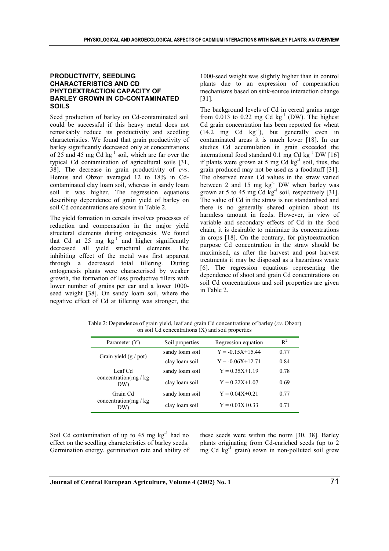## **PRODUCTIVITY, SEEDLING CHARACTERISTICS AND CD PHYTOEXTRACTION CAPACITY OF BARLEY GROWN IN CD-CONTAMINATED SOILS**

Seed production of barley on Cd-contaminated soil could be successful if this heavy metal does not remarkably reduce its productivity and seedling characteristics. We found that grain productivity of barley significantly decreased only at concentrations of 25 and 45 mg  $Cd$  kg $^{-1}$  soil, which are far over the typical Cd contamination of agricultural soils [31, 38]. The decrease in grain productivity of *cvs*. Hemus and Obzor averaged 12 to 18% in Cdcontaminated clay loam soil, whereas in sandy loam soil it was higher. The regression equations describing dependence of grain yield of barley on soil Cd concentrations are shown in Table 2.

The yield formation in cereals involves processes of reduction and compensation in the major yield structural elements during ontogenesis. We found that Cd at  $25 \text{ mg} \text{ kg}^{-1}$  and higher significantly decreased all yield structural elements. The inhibiting effect of the metal was first apparent through a decreased total tillering. During ontogenesis plants were characterised by weaker growth, the formation of less productive tillers with lower number of grains per ear and a lower 1000 seed weight [38]. On sandy loam soil, where the negative effect of Cd at tillering was stronger, the

1000-seed weight was slightly higher than in control plants due to an expression of compensation mechanisms based on sink-source interaction change [31].

The background levels of Cd in cereal grains range from 0.013 to 0.22 mg Cd  $kg^{-1}$  (DW). The highest Cd grain concentration has been reported for wheat  $(14.2 \text{ mg } \text{Cd } \text{kg}^{-1})$ , but generally even in contaminated areas it is much lower [18]. In our studies Cd accumulation in grain exceeded the international food standard 0.1 mg Cd kg $^{-1}$  DW [16] if plants were grown at 5 mg Cd  $kg^{-1}$  soil, thus, the grain produced may not be used as a foodstuff [31]. The observed mean Cd values in the straw varied between 2 and 15 mg  $kg^{-1}$  DW when barley was grown at 5 to 45 mg  $\text{Cd}\ \text{kg}^{-1}\ \text{soil},$  respectively [31]. The value of Cd in the straw is not standardised and there is no generally shared opinion about its harmless amount in feeds. However, in view of variable and secondary effects of Cd in the food chain, it is desirable to minimize its concentrations in crops [18]. On the contrary, for phytoextraction purpose Cd concentration in the straw should be maximised, as after the harvest and post harvest treatments it may be disposed as a hazardous waste [6]. The regression equations representing the dependence of shoot and grain Cd concentrations on soil Cd concentrations and soil properties are given in Table 2.

Table 2: Dependence of grain yield, leaf and grain Cd concentrations of barley (*cv*. Obzor) on soil Cd concentrations (X) and soil properties

| Parameter (Y)                            | Soil properties | Regression equation  | $R^2$ |
|------------------------------------------|-----------------|----------------------|-------|
| Grain yield $(g / pot)$                  | sandy loam soil | $Y = -0.15X + 15.44$ | 0.77  |
|                                          | clay loam soil  | $Y = -0.06X + 12.71$ | 0.84  |
| Leaf Cd<br>concentration(mg / kg<br>DW)  | sandy loam soil | $Y = 0.35X + 1.19$   | 0.78  |
|                                          | clay loam soil  | $Y = 0.22X + 1.07$   | 0.69  |
| Grain Cd<br>concentration(mg / kg<br>DW) | sandy loam soil | $Y = 0.04X + 0.21$   | 0.77  |
|                                          | clay loam soil  | $Y = 0.03X + 0.33$   | 0.71  |

Soil Cd contamination of up to  $45 \text{ mg} \text{ kg}^{-1}$  had no effect on the seedling characteristics of barley seeds. Germination energy, germination rate and ability of these seeds were within the norm [30, 38]. Barley plants originating from Cd-enriched seeds (up to 2 mg Cd  $kg^{-1}$  grain) sown in non-polluted soil grew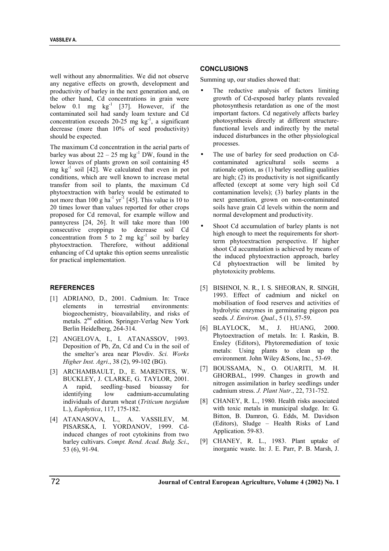well without any abnormalities. We did not observe any negative effects on growth, development and productivity of barley in the next generation and, on the other hand, Cd concentrations in grain were below 0.1 mg  $kg^{-1}$  [37]. However, if the contaminated soil had sandy loam texture and Cd concentration exceeds  $20-25$  mg kg<sup>-1</sup>, a significant decrease (more than 10% of seed productivity) should be expected.

The maximum Cd concentration in the aerial parts of barley was about  $22 - 25$  mg kg<sup>-1</sup> DW, found in the lower leaves of plants grown on soil containing 45 mg  $kg^{-1}$  soil [42]. We calculated that even in pot conditions, which are well known to increase metal transfer from soil to plants, the maximum Cd phytoextraction with barley would be estimated to not more than 100 g ha<sup>-1</sup> yr<sup>-1</sup> [45]. This value is 10 to 20 times lower than values reported for other crops proposed for Cd removal, for example willow and pannycress [24, 26]. It will take more than 100 consecutive croppings to decrease soil Cd concentration from 5 to 2 mg  $kg^{-1}$  soil by barley phytoextraction. Therefore, without additional enhancing of Cd uptake this option seems unrealistic for practical implementation.

## **REFERENCES**

- [1] ADRIANO, D., 2001. Cadmium. In: Trace elements in terrestrial environments: biogeochemistry, bioavailability, and risks of metals. 2<sup>nd</sup> edition. Springer-Verlag New York Berlin Heidelberg, 264-314.
- [2] ANGELOVA, I., I. ATANASSOV, 1993. Deposition of Pb, Zn, Cd and Cu in the soil of the smelter's area near Plovdiv. *Sci. Works Higher Inst. Agri*., 38 (2), 99-102 (BG).
- [3] ARCHAMBAULT, D., E. MARENTES, W. BUCKLEY, J. CLARKE, G. TAYLOR, 2001. A rapid, seedling–based bioassay for identifying low cadmium-accumulating individuals of durum wheat (*Triticum turgidum* L.), *Euphytica*, 117, 175-182.
- [4] ATANASOVA, L., A. VASSILEV, M. PISARSKA, I. YORDANOV, 1999. Cdinduced changes of root cytokinins from two barley cultivars. *Compt. Rend. Acad. Bulg. Sci*., 53 (6), 91-94.

#### **CONCLUSIONS**

Summing up, our studies showed that:

- The reductive analysis of factors limiting growth of Cd-exposed barley plants revealed photosynthesis retardation as one of the most important factors. Cd negatively affects barley photosynthesis directly at different structurefunctional levels and indirectly by the metal induced disturbances in the other physiological processes.
- The use of barley for seed production on Cdcontaminated agricultural soils seems a rationale option, as (1) barley seedling qualities are high; (2) its productivity is not significantly affected (except at some very high soil Cd contamination levels); (3) barley plants in the next generation, grown on non-contaminated soils have grain Cd levels within the norm and normal development and productivity.
- Shoot Cd accumulation of barley plants is not high enough to meet the requirements for shortterm phytoextraction perspective. If higher shoot Cd accumulation is achieved by means of the induced phytoextraction approach, barley Cd phytoextraction will be limited by phytotoxicity problems.
- [5] BISHNOI, N. R., I. S. SHEORAN, R. SINGH, 1993. Effect of cadmium and nickel on mobilisation of food reserves and activities of hydrolytic enzymes in germinating pigeon pea seeds*. J. Environ. Qual*., 5 (1), 57-59.
- [6] BLAYLOCK, M., J. HUANG, 2000. Phytoextraction of metals. In: I. Raskin, B. Ensley (Editors), Phytoremediation of toxic metals: Using plants to clean up the environment. John Wiley &Sons, Inc., 53-69.
- [7] BOUSSAMA, N., O. OUARITI, M. H. GHORBAL, 1999. Changes in growth and nitrogen assimilation in barley seedlings under cadmium stress. *J. Plant Nutr*., 22, 731-752.
- [8] CHANEY, R. L., 1980. Health risks associated with toxic metals in municipal sludge. In: G. Bitton, B. Damron, G. Edds, M. Davidson (Editors), Sludge – Health Risks of Land Application. 59-83.
- [9] CHANEY, R. L., 1983. Plant uptake of inorganic waste. In: J. E. Parr, P. B. Marsh, J.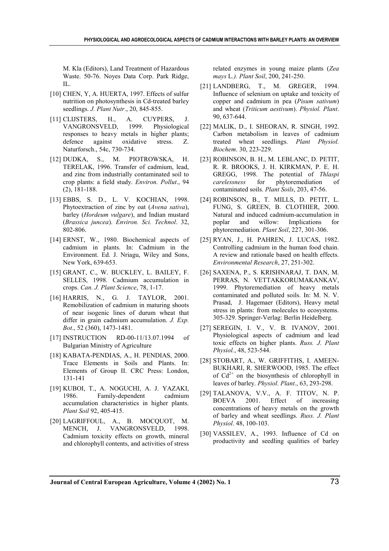M. Kla (Editors), Land Treatment of Hazardous Waste. 50-76. Noyes Data Corp. Park Ridge, IL.

- [10] CHEN, Y, A. HUERTA, 1997. Effects of sulfur nutrition on photosynthesis in Cd-treated barley seedlings. *J. Plant Nutr*., 20, 845-855.
- [11] CLIJSTERS, H., A. CUYPERS, J. VANGRONSVELD, 1999. Physiological responses to heavy metals in higher plants; defence against oxidative stress. Z. Naturforsch., 54c, 730-734.
- [12] DUDKA, S., M. PIOTROWSKA, H. TERELAK, 1996. Transfer of cadmium, lead, and zinc from industrially contaminated soil to crop plants: a field study. *Environ. Pollut*., 94 (2), 181-188.
- [13] EBBS, S. D., L. V. KOCHIAN, 1998. Phytoextraction of zinc by oat (*Avena sativa*), barley (*Hordeum vulgare*), and Indian mustard (*Brassica juncea*). *Environ. Sci. Technol*. 32, 802-806.
- [14] ERNST, W., 1980. Biochemical aspects of cadmium in plants. In: Cadmium in the Environment. Ed. J. Nriagu, Wiley and Sons, New York, 639-653.
- [15] GRANT, C., W. BUCKLEY, L. BAILEY, F. SELLES, 1998. Cadmium accumulation in crops. *Can. J. Plant Science*, 78, 1-17.
- [16] HARRIS, N., G. J. TAYLOR, 2001. Remobilization of cadmium in maturing shoots of near isogenic lines of durum wheat that differ in grain cadmium accumulation. *J. Exp. Bot*., 52 (360), 1473-1481.
- [17] INSTRUCTION RD-00-11/13.07.1994 of Bulgarian Ministry of Agriculture
- [18] KABATA-PENDIAS, A., H. PENDIAS, 2000. Trace Elements in Soils and Plants. In: Elements of Group II. CRC Press: London, 131-141
- [19] KUBOI, T., A. NOGUCHI, A. J. YAZAKI, 1986. Family-dependent cadmium accumulation characteristics in higher plants. *Plant Soil* 92, 405-415.
- [20] LAGRIFFOUL, A., B. MOCQUOT, M. MENCH, J. VANGRONSVELD, 1998. Cadmium toxicity effects on growth, mineral and chlorophyll contents, and activities of stress

related enzymes in young maize plants (*Zea mays* L*.). Plant Soil*, 200, 241-250.

- [21] LANDBERG, T., M. GREGER, 1994. Influence of selenium on uptake and toxicity of copper and cadmium in pea (*Pisum sativum*) and wheat (*Triticum aestivum*). *Physiol. Plant*. 90, 637-644.
- [22] MALIK, D., I. SHEORAN, R. SINGH, 1992. Carbon metabolism in leaves of cadmium treated wheat seedlings. *Plant Physiol. Biochem*. 30, 223-229.
- [23] ROBINSON, B. H., M. LEBLANC, D. PETIT, R. R. BROOKS, J. H. KIRKMAN, P. E. H. GREGG, 1998. The potential of *Thlaspi carelessness* for phytoremediation of contaminated soils. *Plant Soils*, 203, 47-56.
- [24] ROBINSON, B., T. MILLS, D. PETIT, L. FUNG, S. GREEN, B. CLOTHIER, 2000. Natural and induced cadmium-accumulation in poplar and willow: Implications for phytoremediation. *Plant Soil*, 227, 301-306.
- [25] RYAN, J., H. PAHREN, J. LUCAS, 1982. Controlling cadmium in the human food chain. A review and rationale based on health effects. *Environmental Research*, 27, 251-302.
- [26] SAXENA, P., S. KRISHNARAJ, T. DAN, M. PERRAS, N. VETTAKKORUMAKANKAV, 1999. Phytoremediation of heavy metals contaminated and polluted soils. In: M. N. V. Prasad, J. Hagemaer (Editors), Heavy metal stress in plants: from molecules to ecosystems. 305-329. Springer-Verlag: Berlin Heidelberg.
- [27] SEREGIN, I. V., V. B. IVANOV, 2001. Physiological aspects of cadmium and lead toxic effects on higher plants. *Russ. J. Plant Physiol.*, 48, 523-544.
- [28] STOBART, A., W. GRIFFITHS, I. AMEEN-BUKHARI, R. SHERWOOD, 1985. The effect of  $Cd^{2+}$  on the biosynthesis of chlorophyll in leaves of barley. *Physiol. Plant*., 63, 293-298.
- [29] TALANOVA, V.V., A. F. TITOV, N. P. BOEVA 2001. Effect of increasing concentrations of heavy metals on the growth of barley and wheat seedlings. *Russ. J. Plant Physiol*. 48, 100-103.
- [30] VASSILEV, A., 1993. Influence of Cd on productivity and seedling qualities of barley

**Journal of Central European Agriculture, Volume 4 (2002) No. 1** 73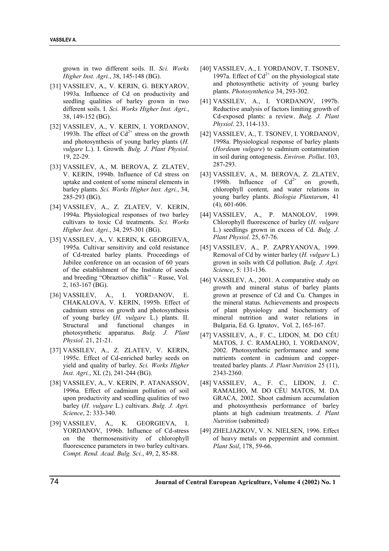grown in two different soils. II. *Sci. Works Higher Inst. Agri.*, 38, 145-148 (BG).

- [31] VASSILEV, A., V. KERIN, G. BEKYAROV, 1993a. Influence of Cd on productivity and seedling qualities of barley grown in two different soils. I. *Sci. Works Higher Inst. Agri.*, 38, 149-152 (BG).
- [32] VASSILEV, A., V. KERIN, I. YORDANOV, 1993b. The effect of  $Cd^{2+}$  stress on the growth and photosynthesis of young barley plants (*H. vulgare* L.). I. Growth*. Bulg. J. Plant Physiol*. 19, 22-29.
- [33] VASSILEV, A., M. BEROVA, Z. ZLATEV, V. KERIN, 1994b. Influence of Cd stress on uptake and content of some mineral elements in barley plants. *Sci. Works Higher Inst. Agri.*, 34, 285-293 (BG).
- [34] VASSILEV, A., Z. ZLATEV, V. KERIN, 1994a. Physiological responses of two barley cultivars to toxic Cd treatments. *Sci. Works Higher Inst. Agri.*, 34, 295-301 (BG).
- [35] VASSILEV, A., V. KERIN, K. GEORGIEVA, 1995a. Cultivar sensitivity and cold resistance of Cd-treated barley plants. Proceedings of Jubilee conference on an occasion of 60 years of the establishment of the Institute of seeds and breeding "Obraztsov chiflik" – Russe, Vol. 2, 163-167 (BG).
- [36] VASSILEV, A., I. YORDANOV, E. CHAKALOVA, V. KERIN, 1995b. Effect of cadmium stress on growth and photosynthesis of young barley (*H. vulgare* L.) plants. II. Structural and functional changes in photosynthetic apparatus. *Bulg. J. Plant Physiol*. 21, 21-21.
- [37] VASSILEV, A., Z. ZLATEV, V. KERIN, 1995c. Effect of Cd-enriched barley seeds on yield and quality of barley. *Sci. Works Higher Inst. Agri.*, XL (2), 241-244 (BG).
- [38] VASSILEV, A., V. KERIN, P. ATANASSOV, 1996a. Effect of cadmium pollution of soil upon productivity and seedling qualities of two barley (*H. vulgare* L.) cultivars. *Bulg. J. Agri. Science*, 2: 333-340.
- [39] VASSILEV, A., K. GEORGIEVA, I. YORDANOV, 1996b. Influence of Cd-stress on the thermosensitivity of chlorophyll fluorescence parameters in two barley cultivars. *Compt. Rend. Acad. Bulg. Sci.*, 49, 2, 85-88.
- [40] VASSILEV, A., I. YORDANOV, T. TSONEV, 1997a. Effect of  $Cd^{2+}$  on the physiological state and photosynthetic activity of young barley plants. *Photosynthetica* 34, 293-302.
- [41] VASSILEV, A., I. YORDANOV, 1997b. Reductive analysis of factors limiting growth of Cd-exposed plants: a review. *Bulg. J. Plant Physiol*. 23, 114-133.
- [42] VASSILEV, A., T. TSONEV, I. YORDANOV, 1998a. Physiological response of barley plants (*Hordeum vulgare*) to cadmium contamination in soil during ontogenesis. *Environ. Pollut*. 103, 287-293.
- [43] VASSILEV, A., M. BEROVA, Z. ZLATEV, 1998b. Influence of  $Cd^{2+}$  on growth, chlorophyll content, and water relations in young barley plants. *Biologia Plantarum*, 41 (4), 601-606.
- [44] VASSILEV, A., P. MANOLOV, 1999. Chlorophyll fluorescence of barley (*H. vulgare* L.) seedlings grown in excess of Cd. *Bulg. J. Plant Physiol*. 25, 67-76.
- [45] VASSILEV, A., P. ZAPRYANOVA, 1999. Removal of Cd by winter barley (*H. vulgare* L.) grown in soils with Cd pollution. *Bulg. J. Agri. Science*, 5: 131-136.
- [46] VASSILEV, A., 2001. A comparative study on growth and mineral status of barley plants grown at presence of Cd and Cu. Changes in the mineral status. Achievements and prospects of plant physiology and biochemistry of mineral nutrition and water relations in Bulgaria, Ed. G. Ignatov, Vol. 2, 165-167.
- [47] VASSILEV, A., F. C., LIDON, M. DO CÉU MATOS, J. C. RAMALHO, I. YORDANOV, 2002. Photosynthetic performance and some nutrients content in cadmium and coppertreated barley plants. *J. Plant Nutrition* 25 (11), 2343-2360.
- [48] VASSILEV, A., F. C., LIDON, J. C. RAMALHO, M. DO CÉU MATOS, M. DA GRACA, 2002. Shoot cadmium accumulation and photosynthesis performance of barley plants at high cadmium treatments. *J. Plant Nutrition* (submitted)
- [49] ZHELJAZKOV, V. N. NIELSEN, 1996. Effect of heavy metals on peppermint and cornmint. *Plant Soil*, 178, 59-66.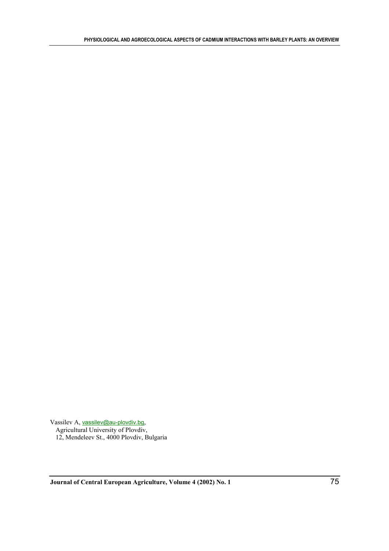Vassilev A, vassilev@au-plovdiv.bg, Agricultural University of Plovdiv, 12, Mendeleev St., 4000 Plovdiv, Bulgaria

**Journal of Central European Agriculture, Volume 4 (2002) No. 1** 75